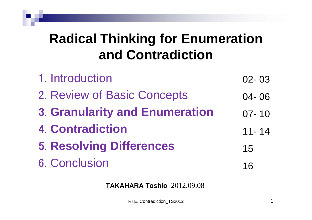## **Radical Thinking for Enumeration and Contradiction**

| 1. Introduction                       | $02 - 03$ |
|---------------------------------------|-----------|
| 2. Review of Basic Concepts           | $04 - 06$ |
| <b>3. Granularity and Enumeration</b> | $07 - 10$ |
| <b>4. Contradiction</b>               | $11 - 14$ |
| <b>5. Resolving Differences</b>       | 15        |
| <b>6. Conclusion</b>                  | 16        |

#### **TAKAHARA Toshio** 2012.09.08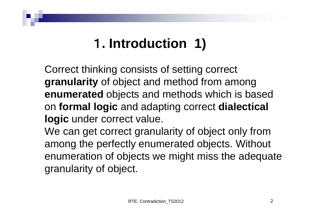# 1**. Introduction 1)**

Correct thinking consists of setting correct **granularity** of object and method from among **enumerated** objects and methods which is based on **formal logic** and adapting correct **dialectical logic** under correct value.

We can get correct granularity of object only from among the perfectly enumerated objects. Without enumeration of objects we might miss the adequate granularity of object.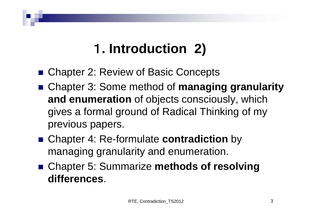## 1**. Introduction 2)**

- Chapter 2: Review of Basic Concepts
- Chapter 3: Some method of **managing granularity and enumeration** of objects consciously, which gives a formal ground of Radical Thinking of my previous papers.
- Chapter 4: Re-formulate **contradiction** by managing granularity and enumeration.
- Chapter 5: Summarize **methods of resolving differences**.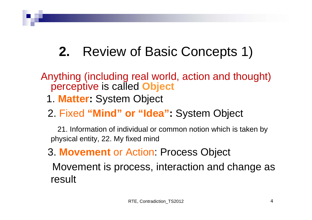# **2.** Review of Basic Concepts 1)

#### Anything (including real world, action and thought) perceptive is called **Object**

- 1. **Matter:** System Object
- 2. Fixed **"Mind" or "Idea":** System Object

21. Information of individual or common notion which is taken by physical entity, 22. My fixed mind

#### 3. **Movement** or Action: Process Object

Movement is process, interaction and change as result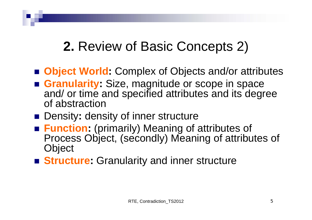## **2.** Review of Basic Concepts 2)

- **Object World:** Complex of Objects and/or attributes
- **Granularity:** Size, magnitude or scope in space and/ or time and specified attributes and its degree of abstraction
- Density: density of inner structure
- **Function:** (primarily) Meaning of attributes of Process Object, (secondly) Meaning of attributes of **Object**
- **Structure:** Granularity and inner structure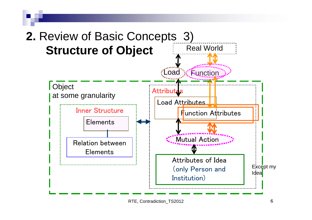

RTE, Contradiction\_TS2012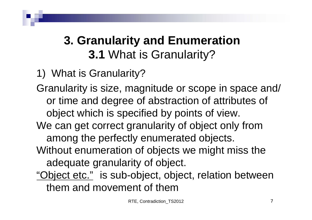### **3. Granularity and Enumeration 3.1** What is Granularity?

1) What is Granularity?

Granularity is size, magnitude or scope in space and/ or time and degree of abstraction of attributes of object which is specified by points of view. We can get correct granularity of object only from among the perfectly enumerated objects. Without enumeration of objects we might miss the adequate granularity of object.

"Object etc." is sub-object, object, relation between them and movement of them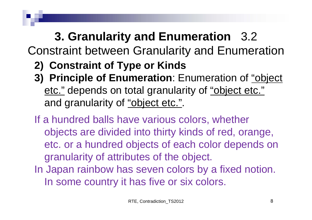## **3. Granularity and Enumeration** 3.2

Constraint between Granularity and Enumeration

- **2) Constraint of Type or Kinds**
- **3) Principle of Enumeration**: Enumeration of "object etc." depends on total granularity of "object etc." and granularity of "object etc.".
- If a hundred balls have various colors, whether objects are divided into thirty kinds of red, orange, etc. or a hundred objects of each color depends on granularity of attributes of the object. In Japan rainbow has seven colors by a fixed notion. In some country it has five or six colors.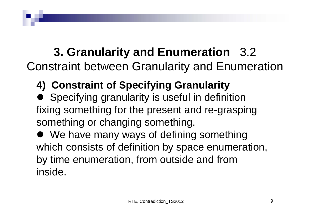#### **3. Granularity and Enumeration** 3.2 Constraint between Granularity and Enumeration

- **4) Constraint of Specifying Granularity**
- Specifying granularity is useful in definition fixing something for the present and re-grasping something or changing something.
- We have many ways of defining something which consists of definition by space enumeration, by time enumeration, from outside and from inside.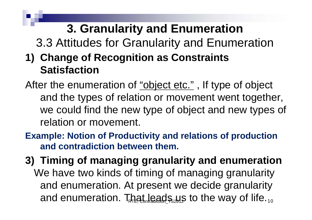## **3. Granularity and Enumeration**

3.3 Attitudes for Granularity and Enumeration

- **1) Change of Recognition as Constraints Satisfaction**
- After the enumeration of "object etc.", If type of object and the types of relation or movement went together, we could find the new type of object and new types of relation or movement.
- **Example: Notion of Productivity and relations of production and contradiction between them.**
- and enumeration. That leads  $\mu$ s to the way of life. $_{10}$ **3) Timing of managing granularity and enumeration** We have two kinds of timing of managing granularity and enumeration. At present we decide granularity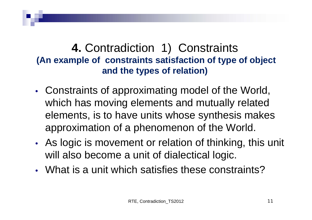#### **4.** Contradiction 1) Constraints **(An example of constraints satisfaction of type of object and the types of relation)**

- Constraints of approximating model of the World, which has moving elements and mutually related elements, is to have units whose synthesis makes approximation of a phenomenon of the World.
- As logic is movement or relation of thinking, this unit will also become a unit of dialectical logic.
- What is a unit which satisfies these constraints?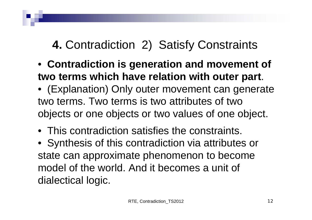#### **4.** Contradiction 2) Satisfy Constraints

- **Contradiction is generation and movement of two terms which have relation with outer part**.
- (Explanation) Only outer movement can generate two terms. Two terms is two attributes of two objects or one objects or two values of one object.
- This contradiction satisfies the constraints.
- Synthesis of this contradiction via attributes or state can approximate phenomenon to become model of the world. And it becomes a unit of dialectical logic.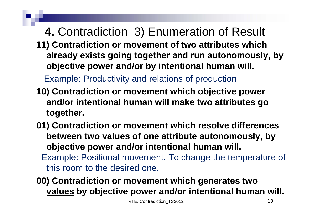### **4.** Contradiction 3) Enumeration of Result

**11) Contradiction or movement of two attributes which already exists going together and run autonomously, by objective power and/or by intentional human will.** 

Example: Productivity and relations of production

- **10) Contradiction or movement which objective power and/or intentional human will make two attributes go together.**
- **01) Contradiction or movement which resolve differences between two values of one attribute autonomously, by objective power and/or intentional human will.** Example: Positional movement. To change the temperature of this room to the desired one.

**00) Contradiction or movement which generates two values by objective power and/or intentional human will.**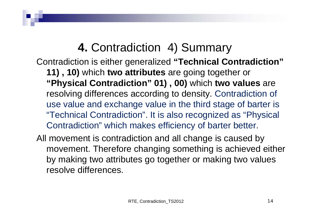#### **4.** Contradiction 4) Summary

Contradiction is either generalized **"Technical Contradiction"** 

- **11) , 10)** which **two attributes** are going together or **"Physical Contradiction" 01) , 00)** which **two values** are resolving differences according to density. Contradiction of use value and exchange value in the third stage of barter is "Technical Contradiction". It is also recognized as "Physical Contradiction" which makes efficiency of barter better.
- All movement is contradiction and all change is caused by movement. Therefore changing something is achieved either by making two attributes go together or making two values resolve differences.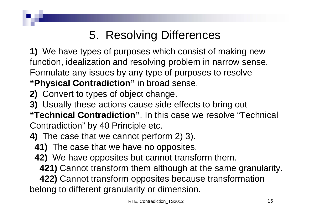### 5. Resolving Differences

**1)** We have types of purposes which consist of making new function, idealization and resolving problem in narrow sense. Formulate any issues by any type of purposes to resolve **"Physical Contradiction"** in broad sense.

- **2)** Convert to types of object change.
- **3)** Usually these actions cause side effects to bring out
- **"Technical Contradiction"**. In this case we resolve "Technical Contradiction" by 40 Principle etc.
- **4)** The case that we cannot perform 2) 3).
	- **41)** The case that we have no opposites.
	- **42)** We have opposites but cannot transform them.
		- **421)** Cannot transform them although at the same granularity.
	- **422)** Cannot transform opposites because transformation

belong to different granularity or dimension.